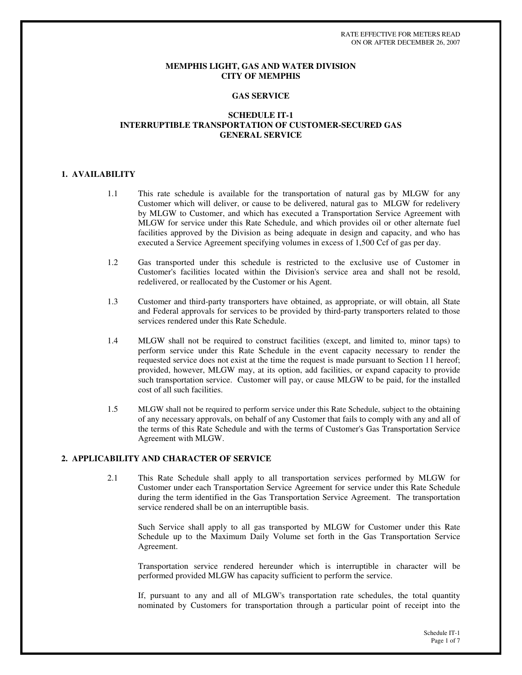RATE EFFECTIVE FOR METERS READ ON OR AFTER DECEMBER 26, 2007

#### **MEMPHIS LIGHT, GAS AND WATER DIVISION CITY OF MEMPHIS**

#### **GAS SERVICE**

## **SCHEDULE IT-1 INTERRUPTIBLE TRANSPORTATION OF CUSTOMER-SECURED GAS GENERAL SERVICE**

## **1. AVAILABILITY**

- 1.1 This rate schedule is available for the transportation of natural gas by MLGW for any Customer which will deliver, or cause to be delivered, natural gas to MLGW for redelivery by MLGW to Customer, and which has executed a Transportation Service Agreement with MLGW for service under this Rate Schedule, and which provides oil or other alternate fuel facilities approved by the Division as being adequate in design and capacity, and who has executed a Service Agreement specifying volumes in excess of 1,500 Ccf of gas per day.
- 1.2 Gas transported under this schedule is restricted to the exclusive use of Customer in Customer's facilities located within the Division's service area and shall not be resold, redelivered, or reallocated by the Customer or his Agent.
- 1.3 Customer and third-party transporters have obtained, as appropriate, or will obtain, all State and Federal approvals for services to be provided by third-party transporters related to those services rendered under this Rate Schedule.
- 1.4 MLGW shall not be required to construct facilities (except, and limited to, minor taps) to perform service under this Rate Schedule in the event capacity necessary to render the requested service does not exist at the time the request is made pursuant to Section 11 hereof; provided, however, MLGW may, at its option, add facilities, or expand capacity to provide such transportation service. Customer will pay, or cause MLGW to be paid, for the installed cost of all such facilities.
- 1.5 MLGW shall not be required to perform service under this Rate Schedule, subject to the obtaining of any necessary approvals, on behalf of any Customer that fails to comply with any and all of the terms of this Rate Schedule and with the terms of Customer's Gas Transportation Service Agreement with MLGW.

#### **2. APPLICABILITY AND CHARACTER OF SERVICE**

2.1 This Rate Schedule shall apply to all transportation services performed by MLGW for Customer under each Transportation Service Agreement for service under this Rate Schedule during the term identified in the Gas Transportation Service Agreement. The transportation service rendered shall be on an interruptible basis.

Such Service shall apply to all gas transported by MLGW for Customer under this Rate Schedule up to the Maximum Daily Volume set forth in the Gas Transportation Service Agreement.

Transportation service rendered hereunder which is interruptible in character will be performed provided MLGW has capacity sufficient to perform the service.

If, pursuant to any and all of MLGW's transportation rate schedules, the total quantity nominated by Customers for transportation through a particular point of receipt into the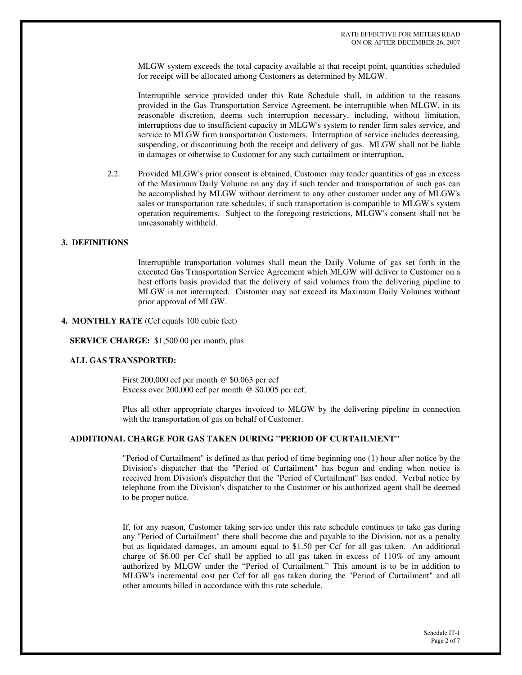MLGW system exceeds the total capacity available at that receipt point, quantities scheduled for receipt will be allocated among Customers as determined by MLGW.

Interruptible service provided under this Rate Schedule shall, in addition to the reasons provided in the Gas Transportation Service Agreement, be interruptible when MLGW, in its reasonable discretion, deems such interruption necessary, including, without limitation, interruptions due to insufficient capacity in MLGW's system to render firm sales service, and service to MLGW firm transportation Customers. Interruption of service includes decreasing, suspending, or discontinuing both the receipt and delivery of gas. MLGW shall not be liable in damages or otherwise to Customer for any such curtailment or interruption**.**

2.2. Provided MLGW's prior consent is obtained, Customer may tender quantities of gas in excess of the Maximum Daily Volume on any day if such tender and transportation of such gas can be accomplished by MLGW without detriment to any other customer under any of MLGW's sales or transportation rate schedules, if such transportation is compatible to MLGW's system operation requirements. Subject to the foregoing restrictions, MLGW's consent shall not be unreasonably withheld.

## **3. DEFINITIONS**

Interruptible transportation volumes shall mean the Daily Volume of gas set forth in the executed Gas Transportation Service Agreement which MLGW will deliver to Customer on a best efforts basis provided that the delivery of said volumes from the delivering pipeline to MLGW is not interrupted. Customer may not exceed its Maximum Daily Volumes without prior approval of MLGW.

## **4. MONTHLY RATE** (Ccf equals 100 cubic feet)

**SERVICE CHARGE:** \$1,500.00 per month, plus

#### **ALL GAS TRANSPORTED:**

First 200,000 ccf per month @ \$0.063 per ccf Excess over 200,000 ccf per month @ \$0.005 per ccf,

Plus all other appropriate charges invoiced to MLGW by the delivering pipeline in connection with the transportation of gas on behalf of Customer.

#### **ADDITIONAL CHARGE FOR GAS TAKEN DURING "PERIOD OF CURTAILMENT"**

"Period of Curtailment" is defined as that period of time beginning one (1) hour after notice by the Division's dispatcher that the "Period of Curtailment" has begun and ending when notice is received from Division's dispatcher that the "Period of Curtailment" has ended. Verbal notice by telephone from the Division's dispatcher to the Customer or his authorized agent shall be deemed to be proper notice.

If, for any reason, Customer taking service under this rate schedule continues to take gas during any "Period of Curtailment" there shall become due and payable to the Division, not as a penalty but as liquidated damages, an amount equal to \$1.50 per Ccf for all gas taken. An additional charge of \$6.00 per Ccf shall be applied to all gas taken in excess of 110% of any amount authorized by MLGW under the "Period of Curtailment." This amount is to be in addition to MLGW's incremental cost per Ccf for all gas taken during the "Period of Curtailment" and all other amounts billed in accordance with this rate schedule.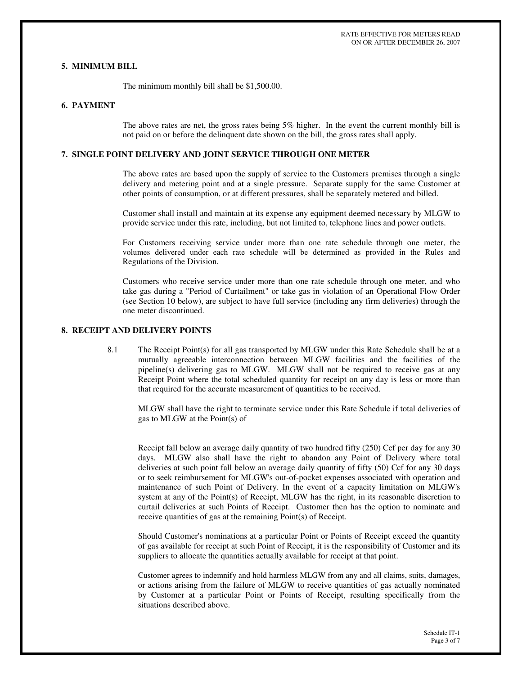## **5. MINIMUM BILL**

The minimum monthly bill shall be \$1,500.00.

#### **6. PAYMENT**

The above rates are net, the gross rates being 5% higher. In the event the current monthly bill is not paid on or before the delinquent date shown on the bill, the gross rates shall apply.

## **7. SINGLE POINT DELIVERY AND JOINT SERVICE THROUGH ONE METER**

The above rates are based upon the supply of service to the Customers premises through a single delivery and metering point and at a single pressure. Separate supply for the same Customer at other points of consumption, or at different pressures, shall be separately metered and billed.

Customer shall install and maintain at its expense any equipment deemed necessary by MLGW to provide service under this rate, including, but not limited to, telephone lines and power outlets.

For Customers receiving service under more than one rate schedule through one meter, the volumes delivered under each rate schedule will be determined as provided in the Rules and Regulations of the Division.

Customers who receive service under more than one rate schedule through one meter, and who take gas during a "Period of Curtailment" or take gas in violation of an Operational Flow Order (see Section 10 below), are subject to have full service (including any firm deliveries) through the one meter discontinued.

## **8. RECEIPT AND DELIVERY POINTS**

8.1 The Receipt Point(s) for all gas transported by MLGW under this Rate Schedule shall be at a mutually agreeable interconnection between MLGW facilities and the facilities of the pipeline(s) delivering gas to MLGW. MLGW shall not be required to receive gas at any Receipt Point where the total scheduled quantity for receipt on any day is less or more than that required for the accurate measurement of quantities to be received.

MLGW shall have the right to terminate service under this Rate Schedule if total deliveries of gas to MLGW at the Point(s) of

Receipt fall below an average daily quantity of two hundred fifty (250) Ccf per day for any 30 days. MLGW also shall have the right to abandon any Point of Delivery where total deliveries at such point fall below an average daily quantity of fifty (50) Ccf for any 30 days or to seek reimbursement for MLGW's out-of-pocket expenses associated with operation and maintenance of such Point of Delivery. In the event of a capacity limitation on MLGW's system at any of the Point(s) of Receipt, MLGW has the right, in its reasonable discretion to curtail deliveries at such Points of Receipt. Customer then has the option to nominate and receive quantities of gas at the remaining Point(s) of Receipt.

Should Customer's nominations at a particular Point or Points of Receipt exceed the quantity of gas available for receipt at such Point of Receipt, it is the responsibility of Customer and its suppliers to allocate the quantities actually available for receipt at that point.

Customer agrees to indemnify and hold harmless MLGW from any and all claims, suits, damages, or actions arising from the failure of MLGW to receive quantities of gas actually nominated by Customer at a particular Point or Points of Receipt, resulting specifically from the situations described above.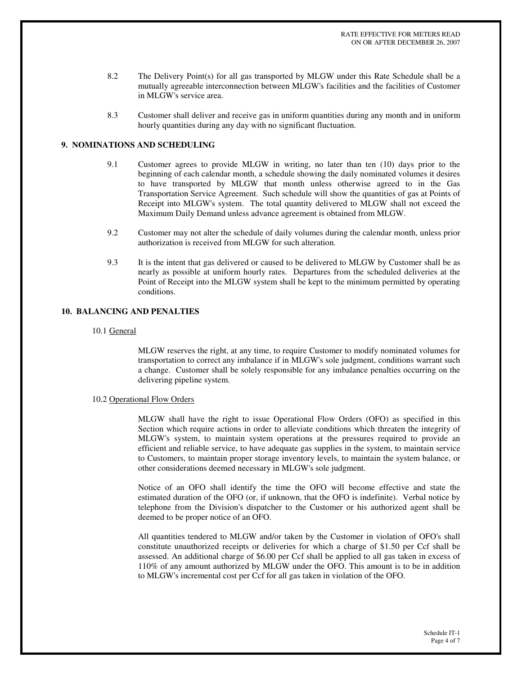- 8.2 The Delivery Point(s) for all gas transported by MLGW under this Rate Schedule shall be a mutually agreeable interconnection between MLGW's facilities and the facilities of Customer in MLGW's service area.
- 8.3 Customer shall deliver and receive gas in uniform quantities during any month and in uniform hourly quantities during any day with no significant fluctuation.

## **9. NOMINATIONS AND SCHEDULING**

- 9.1 Customer agrees to provide MLGW in writing, no later than ten (10) days prior to the beginning of each calendar month, a schedule showing the daily nominated volumes it desires to have transported by MLGW that month unless otherwise agreed to in the Gas Transportation Service Agreement. Such schedule will show the quantities of gas at Points of Receipt into MLGW's system. The total quantity delivered to MLGW shall not exceed the Maximum Daily Demand unless advance agreement is obtained from MLGW.
- 9.2 Customer may not alter the schedule of daily volumes during the calendar month, unless prior authorization is received from MLGW for such alteration.
- 9.3 It is the intent that gas delivered or caused to be delivered to MLGW by Customer shall be as nearly as possible at uniform hourly rates. Departures from the scheduled deliveries at the Point of Receipt into the MLGW system shall be kept to the minimum permitted by operating conditions.

## **10. BALANCING AND PENALTIES**

#### 10.1 General

MLGW reserves the right, at any time, to require Customer to modify nominated volumes for transportation to correct any imbalance if in MLGW's sole judgment, conditions warrant such a change. Customer shall be solely responsible for any imbalance penalties occurring on the delivering pipeline system.

#### 10.2 Operational Flow Orders

MLGW shall have the right to issue Operational Flow Orders (OFO) as specified in this Section which require actions in order to alleviate conditions which threaten the integrity of MLGW's system, to maintain system operations at the pressures required to provide an efficient and reliable service, to have adequate gas supplies in the system, to maintain service to Customers, to maintain proper storage inventory levels, to maintain the system balance, or other considerations deemed necessary in MLGW's sole judgment.

Notice of an OFO shall identify the time the OFO will become effective and state the estimated duration of the OFO (or, if unknown, that the OFO is indefinite). Verbal notice by telephone from the Division's dispatcher to the Customer or his authorized agent shall be deemed to be proper notice of an OFO.

All quantities tendered to MLGW and/or taken by the Customer in violation of OFO's shall constitute unauthorized receipts or deliveries for which a charge of \$1.50 per Ccf shall be assessed. An additional charge of \$6.00 per Ccf shall be applied to all gas taken in excess of 110% of any amount authorized by MLGW under the OFO. This amount is to be in addition to MLGW's incremental cost per Ccf for all gas taken in violation of the OFO.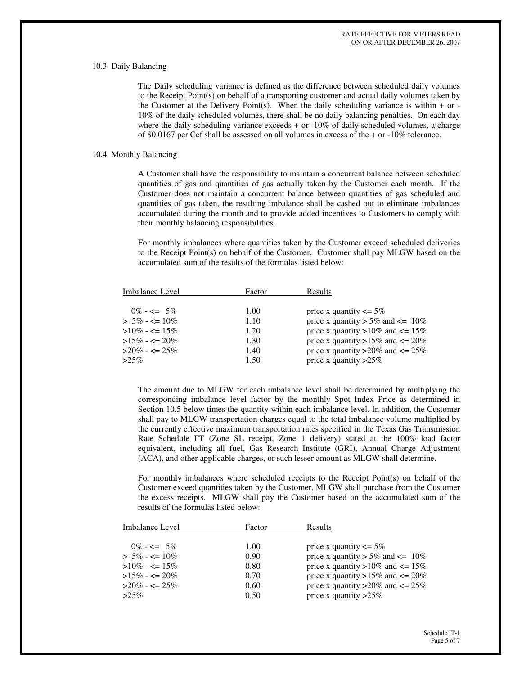#### 10.3 Daily Balancing

The Daily scheduling variance is defined as the difference between scheduled daily volumes to the Receipt Point(s) on behalf of a transporting customer and actual daily volumes taken by the Customer at the Delivery Point(s). When the daily scheduling variance is within  $+$  or -10% of the daily scheduled volumes, there shall be no daily balancing penalties. On each day where the daily scheduling variance exceeds  $+$  or  $-10\%$  of daily scheduled volumes, a charge of \$0.0167 per Ccf shall be assessed on all volumes in excess of the  $+$  or  $-10\%$  tolerance.

#### 10.4 Monthly Balancing

A Customer shall have the responsibility to maintain a concurrent balance between scheduled quantities of gas and quantities of gas actually taken by the Customer each month. If the Customer does not maintain a concurrent balance between quantities of gas scheduled and quantities of gas taken, the resulting imbalance shall be cashed out to eliminate imbalances accumulated during the month and to provide added incentives to Customers to comply with their monthly balancing responsibilities.

For monthly imbalances where quantities taken by the Customer exceed scheduled deliveries to the Receipt Point(s) on behalf of the Customer, Customer shall pay MLGW based on the accumulated sum of the results of the formulas listed below:

| Imbalance Level     | Factor | Results                                  |
|---------------------|--------|------------------------------------------|
|                     |        |                                          |
| $0\% - \leq 5\%$    | 1.00   | price x quantity $\leq 5\%$              |
| $> 5\% - \leq 10\%$ | 1.10   | price x quantity $> 5\%$ and $\leq 10\%$ |
| $>10\% - \leq 15\%$ | 1.20   | price x quantity >10% and $\leq$ 15%     |
| $>15\% - \leq 20\%$ | 1.30   | price x quantity >15% and $\leq$ 20%     |
| $>20\% - \leq 25\%$ | 1.40   | price x quantity > $20\%$ and <= $25\%$  |
| $>2.5\%$            | 1.50   | price x quantity $>25\%$                 |

The amount due to MLGW for each imbalance level shall be determined by multiplying the corresponding imbalance level factor by the monthly Spot Index Price as determined in Section 10.5 below times the quantity within each imbalance level. In addition, the Customer shall pay to MLGW transportation charges equal to the total imbalance volume multiplied by the currently effective maximum transportation rates specified in the Texas Gas Transmission Rate Schedule FT (Zone SL receipt, Zone 1 delivery) stated at the 100% load factor equivalent, including all fuel, Gas Research Institute (GRI), Annual Charge Adjustment (ACA), and other applicable charges, or such lesser amount as MLGW shall determine.

For monthly imbalances where scheduled receipts to the Receipt Point(s) on behalf of the Customer exceed quantities taken by the Customer, MLGW shall purchase from the Customer the excess receipts. MLGW shall pay the Customer based on the accumulated sum of the results of the formulas listed below:

| Imbalance Level                            | Factor       | Results                                                                         |
|--------------------------------------------|--------------|---------------------------------------------------------------------------------|
| $0\% - \leq 5\%$<br>$> 5\% - \le 10\%$     | 1.00<br>0.90 | price x quantity $\leq 5\%$<br>price x quantity $> 5\%$ and $\leq 10\%$         |
| $>10\% - \leq 15\%$                        | 0.80         | price x quantity >10% and $\leq$ 15%                                            |
| $>15\% - \leq 20\%$<br>$>20\% - \leq 25\%$ | 0.70<br>0.60 | price x quantity >15% and $\leq$ 20%<br>price x quantity > $20\%$ and <= $25\%$ |
| $>2.5\%$                                   | 0.50         | price x quantity $>25\%$                                                        |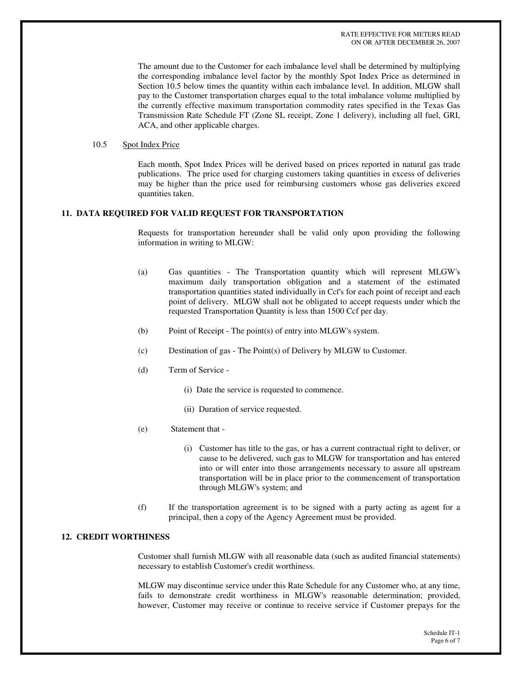The amount due to the Customer for each imbalance level shall be determined by multiplying the corresponding imbalance level factor by the monthly Spot Index Price as determined in Section 10.5 below times the quantity within each imbalance level. In addition, MLGW shall pay to the Customer transportation charges equal to the total imbalance volume multiplied by the currently effective maximum transportation commodity rates specified in the Texas Gas Transmission Rate Schedule FT (Zone SL receipt, Zone 1 delivery), including all fuel, GRI, ACA, and other applicable charges.

## 10.5 Spot Index Price

Each month, Spot Index Prices will be derived based on prices reported in natural gas trade publications. The price used for charging customers taking quantities in excess of deliveries may be higher than the price used for reimbursing customers whose gas deliveries exceed quantities taken.

#### **11. DATA REQUIRED FOR VALID REQUEST FOR TRANSPORTATION**

Requests for transportation hereunder shall be valid only upon providing the following information in writing to MLGW:

- (a) Gas quantities The Transportation quantity which will represent MLGW's maximum daily transportation obligation and a statement of the estimated transportation quantities stated individually in Ccf's for each point of receipt and each point of delivery. MLGW shall not be obligated to accept requests under which the requested Transportation Quantity is less than 1500 Ccf per day.
- (b) Point of Receipt The point(s) of entry into MLGW's system.
- (c) Destination of gas The Point(s) of Delivery by MLGW to Customer.
- (d) Term of Service
	- (i) Date the service is requested to commence.
	- (ii) Duration of service requested.
- (e) Statement that
	- (i) Customer has title to the gas, or has a current contractual right to deliver, or cause to be delivered, such gas to MLGW for transportation and has entered into or will enter into those arrangements necessary to assure all upstream transportation will be in place prior to the commencement of transportation through MLGW's system; and
- (f) If the transportation agreement is to be signed with a party acting as agent for a principal, then a copy of the Agency Agreement must be provided.

## **12. CREDIT WORTHINESS**

Customer shall furnish MLGW with all reasonable data (such as audited financial statements) necessary to establish Customer's credit worthiness.

MLGW may discontinue service under this Rate Schedule for any Customer who, at any time, fails to demonstrate credit worthiness in MLGW's reasonable determination; provided, however, Customer may receive or continue to receive service if Customer prepays for the